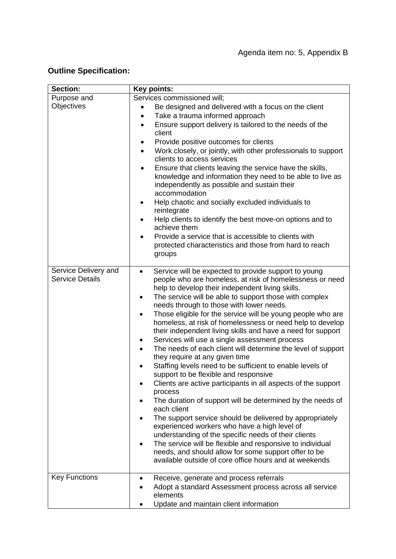## **Outline Specification:**

| <b>Section:</b>        | Key points:                                                                                                       |
|------------------------|-------------------------------------------------------------------------------------------------------------------|
| Purpose and            | Services commissioned will;                                                                                       |
| Objectives             | Be designed and delivered with a focus on the client<br>$\bullet$                                                 |
|                        | Take a trauma informed approach<br>٠                                                                              |
|                        | Ensure support delivery is tailored to the needs of the<br>$\bullet$                                              |
|                        | client                                                                                                            |
|                        | Provide positive outcomes for clients<br>$\bullet$                                                                |
|                        | Work closely, or jointly, with other professionals to support<br>$\bullet$                                        |
|                        | clients to access services                                                                                        |
|                        | Ensure that clients leaving the service have the skills,<br>$\bullet$                                             |
|                        | knowledge and information they need to be able to live as                                                         |
|                        | independently as possible and sustain their<br>accommodation                                                      |
|                        |                                                                                                                   |
|                        | Help chaotic and socially excluded individuals to<br>$\bullet$<br>reintegrate                                     |
|                        | Help clients to identify the best move-on options and to                                                          |
|                        | achieve them                                                                                                      |
|                        | Provide a service that is accessible to clients with<br>$\bullet$                                                 |
|                        | protected characteristics and those from hard to reach                                                            |
|                        | groups                                                                                                            |
|                        |                                                                                                                   |
| Service Delivery and   | Service will be expected to provide support to young<br>$\bullet$                                                 |
| <b>Service Details</b> | people who are homeless, at risk of homelessness or need                                                          |
|                        | help to develop their independent living skills.                                                                  |
|                        | The service will be able to support those with complex<br>$\bullet$                                               |
|                        | needs through to those with lower needs.                                                                          |
|                        | Those eligible for the service will be young people who are<br>٠                                                  |
|                        | homeless, at risk of homelessness or need help to develop                                                         |
|                        | their independent living skills and have a need for support<br>Services will use a single assessment process      |
|                        | The needs of each client will determine the level of support                                                      |
|                        | they require at any given time                                                                                    |
|                        | Staffing levels need to be sufficient to enable levels of                                                         |
|                        | support to be flexible and responsive                                                                             |
|                        | Clients are active participants in all aspects of the support                                                     |
|                        | process                                                                                                           |
|                        | The duration of support will be determined by the needs of                                                        |
|                        | each client                                                                                                       |
|                        | The support service should be delivered by appropriately                                                          |
|                        | experienced workers who have a high level of                                                                      |
|                        | understanding of the specific needs of their clients                                                              |
|                        | The service will be flexible and responsive to individual<br>needs, and should allow for some support offer to be |
|                        | available outside of core office hours and at weekends                                                            |
|                        |                                                                                                                   |
| <b>Key Functions</b>   | Receive, generate and process referrals                                                                           |
|                        | Adopt a standard Assessment process across all service                                                            |
|                        | elements                                                                                                          |
|                        | Update and maintain client information                                                                            |